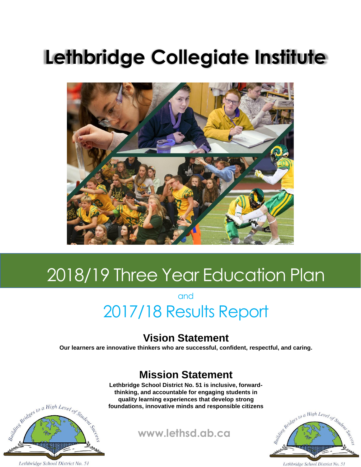# **Lethbridge Collegiate Institute**



# 2018/19 Three Year Education Plan

and

## 2017/18 Results Report

## **Vision Statement**

**Our learners are innovative thinkers who are successful, confident, respectful, and caring.** 

## **Mission Statement**

**Lethbridge School District No. 51 is inclusive, forwardthinking, and accountable for engaging students in quality learning experiences that develop strong foundations, innovative minds and responsible citizens**





Lethbridge School District No. 51

Right Bridges to a High Level of Student

### Lethbridge School District No. 51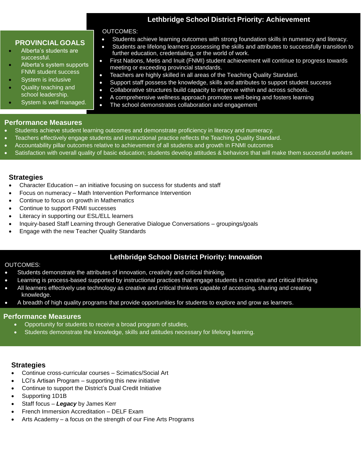### **Lethbridge School District Priority: Achievement**

 Students achieve learning outcomes with strong foundation skills in numeracy and literacy. Students are lifelong learners possessing the skills and attributes to successfully transition to

First Nations, Metis and Inuit (FNMI) student achievement will continue to progress towards

Support staff possess the knowledge, skills and attributes to support student success

 Collaborative structures build capacity to improve within and across schools. A comprehensive wellness approach promotes well-being and fosters learning

### **PROVINCIAL GOALS**

- **Alberta's students are**<br>Alberta's students are successful.
- Alberta's system supports FNMI student success
- System is inclusive
- Quality teaching and school leadership.
- System is well managed.

### **Performance Measures**

- Students achieve student learning outcomes and demonstrate proficiency in literacy and numeracy.
- Teachers effectively engage students and instructional practice reflects the Teaching Quality Standard.
- Accountability pillar outcomes relative to achievement of all students and growth in FNMI outcomes
- Satisfaction with overall quality of basic education; students develop attitudes & behaviors that will make them successful workers

further education, credentialing, or the world of work.

The school demonstrates collaboration and engagement

Teachers are highly skilled in all areas of the Teaching Quality Standard.

meeting or exceeding provincial standards.

### **Strategies**

Character Education – an initiative focusing on success for students and staff

OUTCOMES:

- Focus on numeracy Math Intervention Performance Intervention
- Continue to focus on growth in Mathematics
- Continue to support FNMI successes
- Literacy in supporting our ESL/ELL learners
- Inquiry-based Staff Learning through Generative Dialogue Conversations groupings/goals
- Engage with the new Teacher Quality Standards

### **Lethbridge School District Priority: Innovation**

### OUTCOMES:

- Students demonstrate the attributes of innovation, creativity and critical thinking.
- Learning is process-based supported by instructional practices that engage students in creative and critical thinking
- All learners effectively use technology as creative and critical thinkers capable of accessing, sharing and creating knowledge.
- A breadth of high quality programs that provide opportunities for students to explore and grow as learners.

### **Performance Measures**

- Opportunity for students to receive a broad program of studies,
- Students demonstrate the knowledge, skills and attitudes necessary for lifelong learning.

### **Strategies**

- Continue cross-curricular courses Scimatics/Social Art
- LCI's Artisan Program supporting this new initiative
- Continue to support the District's Dual Credit Initiative
- Supporting 1D1B
- Staff focus *Legacy* by James Kerr
- French Immersion Accreditation DELF Exam
- Arts Academy a focus on the strength of our Fine Arts Programs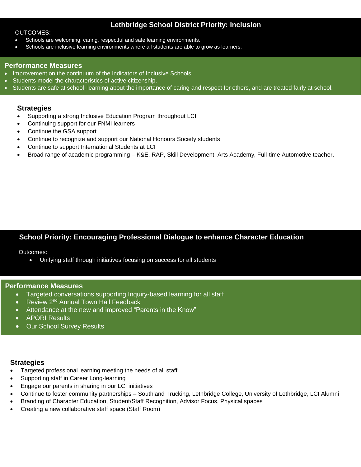### **Lethbridge School District Priority: Inclusion**

### OUTCOMES:

- Schools are welcoming, caring, respectful and safe learning environments.
- Schools are inclusive learning environments where all students are able to grow as learners.

### **Performance Measures**

- Improvement on the continuum of the Indicators of Inclusive Schools.
- Students model the characteristics of active citizenship.
- Students are safe at school, learning about the importance of caring and respect for others, and are treated fairly at school.

### **Strategies**

- Supporting a strong Inclusive Education Program throughout LCI
- Continuing support for our FNMI learners
- Continue the GSA support
- Continue to recognize and support our National Honours Society students
- Continue to support International Students at LCI
- Broad range of academic programming K&E, RAP, Skill Development, Arts Academy, Full-time Automotive teacher,

### **School Priority: Encouraging Professional Dialogue to enhance Character Education**

Outcomes:

Unifying staff through initiatives focusing on success for all students

### **Performance Measures**

- Targeted conversations supporting Inquiry-based learning for all staff
- Review 2<sup>nd</sup> Annual Town Hall Feedback
- Attendance at the new and improved "Parents in the Know"
- APORI Results
- Our School Survey Results

### **Strategies**

- Targeted professional learning meeting the needs of all staff
- Supporting staff in Career Long-learning
- Engage our parents in sharing in our LCI initiatives
- Continue to foster community partnerships Southland Trucking, Lethbridge College, University of Lethbridge, LCI Alumni
- Branding of Character Education, Student/Staff Recognition, Advisor Focus, Physical spaces
- Creating a new collaborative staff space (Staff Room)